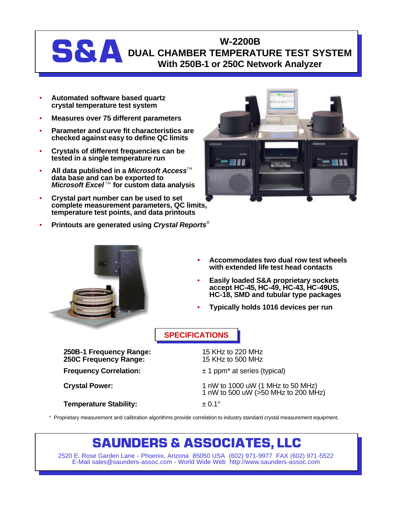### W-2200B<br>DUAL CHAMBER TEMPERAT<br>With 250B-1 or 250C Net **DUAL CHAMBER TEMPERATURE TEST SYSTEM With 250B-1 or 250C Network Analyzer**

- **Automated software based quartz crystal temperature test system**
- **Measures over 75 different parameters**
- **Parameter and curve fit characteristics are checked against easy to define QC limits**
- **Crystals of different frequencies can be tested in a single temperature run**
- **All data published in a** *Microsoft Access***<sup>™</sup> data base and can be exported to** *Microsoft Excel*<sup>™</sup> for custom data analysis
- **Crystal part number can be used to set complete measurement parameters, QC limits, temperature test points, and data printouts**
- **Printouts are generated using** *Crystal Reports*®





- **Accommodates two dual row test wheels with extended life test head contacts**
- **Easily loaded S&A proprietary sockets accept HC-45, HC-49, HC-43, HC-49US, HC-18, SMD and tubular type packages**
- **Typically holds 1016 devices per run**

### **SPECIFICATIONS**

**250B-1 Frequency Range:** 15 KHz to 220 MHz **250C Frequency Range:** 

**Temperature Stability:**  $\qquad \qquad \pm 0.1^{\circ}$ 

**Frequency Correlation:**  $\pm 1$  ppm<sup>\*</sup> at series (typical)

**Crystal Power:** 1 nW to 1000 uW (1 MHz to 50 MHz) 1 nW to 500 uW (>50 MHz to 200 MHz)

\* Proprietary measurement and calibration algorithms provide correlation to industry standard crystal measurement equipment.

## **SAUNDERS & ASSOCIATES, LLC**

2520 E. Rose Garden Lane - Phoenix, Arizona 85050 USA (602) 971-9977 FAX (602) 971-5522 E-Mail sales@saunders-assoc.com - World Wide Web http://www.saunders-assoc.com